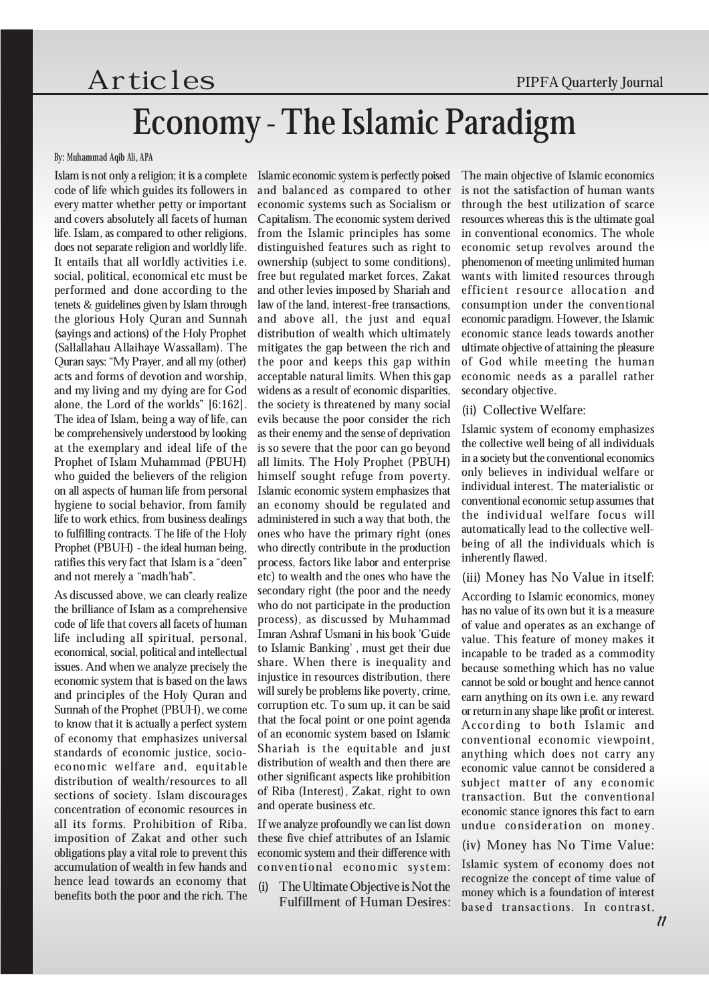# $Artic$   $les$  PIPFA Quarterly Journal Economy - The Islamic Paradigm

#### By: Muhammad Aqib Ali, APA

Islam is not only a religion; it is a complete code of life which guides its followers in every matter whether petty or important and covers absolutely all facets of human life. Islam, as compared to other religions, does not separate religion and worldly life. It entails that all worldly activities i.e. social, political, economical etc must be performed and done according to the tenets & guidelines given by Islam through the glorious Holy Quran and Sunnah (sayings and actions) of the Holy Prophet (Sallallahau Allaihaye Wassallam). The Quran says: ªMy Prayer, and all my (other) acts and forms of devotion and worship, and my living and my dying are for God alone, the Lord of the worlds" [6:162]. The idea of Islam, being a way of life, can be comprehensively understood by looking at the exemplary and ideal life of the Prophet of Islam Muhammad (PBUH) who guided the believers of the religion on all aspects of human life from personal hygiene to social behavior, from family life to work ethics, from business dealings to fulfilling contracts. The life of the Holy Prophet (PBUH) - the ideal human being, ratifies this very fact that Islam is a "deen" and not merely a "madh'hab".

As discussed above, we can clearly realize the brilliance of Islam as a comprehensive code of life that covers all facets of human life including all spiritual, personal, economical, social, political and intellectual issues. And when we analyze precisely the economic system that is based on the laws and principles of the Holy Quran and Sunnah of the Prophet (PBUH), we come to know that it is actually a perfect system of economy that emphasizes universal standards of economic justice, socioeconomic welfare and, equitable distribution of wealth/resources to all sections of society. Islam discourages concentration of economic resources in all its forms. Prohibition of Riba, imposition of Zakat and other such obligations play a vital role to prevent this accumulation of wealth in few hands and hence lead towards an economy that benefits both the poor and the rich. The Islamic economic system is perfectly poised and balanced as compared to other economic systems such as Socialism or Capitalism. The economic system derived from the Islamic principles has some distinguished features such as right to ownership (subject to some conditions), free but regulated market forces, Zakat and other levies imposed by Shariah and law of the land, interest-free transactions, and above all, the just and equal distribution of wealth which ultimately mitigates the gap between the rich and the poor and keeps this gap within acceptable natural limits. When this gap widens as a result of economic disparities, the society is threatened by many social evils because the poor consider the rich as their enemy and the sense of deprivation is so severe that the poor can go beyond all limits. The Holy Prophet (PBUH) himself sought refuge from poverty. Islamic economic system emphasizes that an economy should be regulated and administered in such a way that both, the ones who have the primary right (ones who directly contribute in the production process, factors like labor and enterprise etc) to wealth and the ones who have the secondary right (the poor and the needy who do not participate in the production process), as discussed by Muhammad Imran Ashraf Usmani in his book 'Guide to Islamic Banking', must get their due share. When there is inequality and injustice in resources distribution, there will surely be problems like poverty, crime, corruption etc. To sum up, it can be said that the focal point or one point agenda of an economic system based on Islamic Shariah is the equitable and just distribution of wealth and then there are other significant aspects like prohibition of Riba (Interest), Zakat, right to own and operate business etc.

If we analyze profoundly we can list down these five chief attributes of an Islamic economic system and their difference with conventional economic system:

(i) The Ultimate Objective is Not the Fulfillment of Human Desires: The main objective of Islamic economics is not the satisfaction of human wants through the best utilization of scarce resources whereas this is the ultimate goal in conventional economics. The whole economic setup revolves around the phenomenon of meeting unlimited human wants with limited resources through efficient resource allocation and consumption under the conventional economic paradigm. However, the Islamic economic stance leads towards another ultimate objective of attaining the pleasure of God while meeting the human economic needs as a parallel rather secondary objective.

#### (ii) Collective Welfare:

Islamic system of economy emphasizes the collective well being of all individuals in a society but the conventional economics only believes in individual welfare or individual interest. The materialistic or conventional economic setup assumes that the individual welfare focus will automatically lead to the collective wellbeing of all the individuals which is inherently flawed.

(iii) Money has No Value in itself:

According to Islamic economics, money has no value of its own but it is a measure of value and operates as an exchange of value. This feature of money makes it incapable to be traded as a commodity because something which has no value cannot be sold or bought and hence cannot earn anything on its own i.e. any reward or return in any shape like profit or interest. According to both Islamic and conventional economic viewpoint, anything which does not carry any economic value cannot be considered a subject matter of any economic transaction. But the conventional economic stance ignores this fact to earn undue consideration on money.

(iv) Money has No Time Value:

Islamic system of economy does not recognize the concept of time value of money which is a foundation of interest based transactions. In contrast,